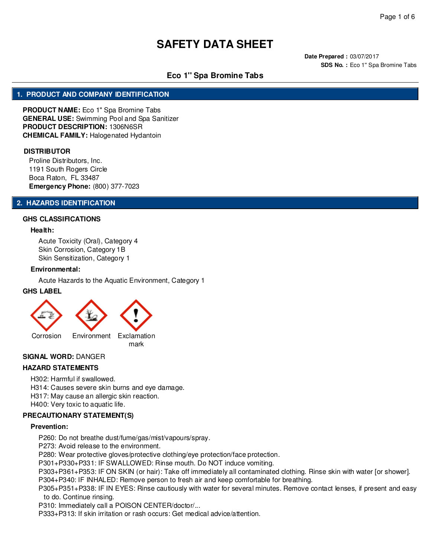**Date Prepared :** 03/07/2017 **SDS No. :** Eco 1" Spa Bromine Tabs

# **Eco 1'' Spa Bromine Tabs**

## **1. PRODUCT AND COMPANY IDENTIFICATION**

**PRODUCT NAME:** Eco 1'' Spa Bromine Tabs **GENERAL USE:** Swimming Pool and Spa Sanitizer **PRODUCT DESCRIPTION:** 1306N6SR **CHEMICAL FAMILY:** Halogenated Hydantoin

#### **DISTRIBUTOR**

Proline Distributors, Inc. 1191 South Rogers Circle Boca Raton, FL 33487 **Emergency Phone:** (800) 377-7023

#### **2. HAZARDS IDENTIFICATION**

#### **GHS CLASSIFICATIONS**

#### **Health:**

Acute Toxicity (Oral), Category 4 Skin Corrosion, Category 1B Skin Sensitization, Category 1

#### **Environmental:**

Acute Hazards to the Aquatic Environment, Category 1

#### **GHS LABEL**



#### **SIGNAL WORD:** DANGER

## **HAZARD STATEMENTS**

H302: Harmful if swallowed.

- H314: Causes severe skin burns and eye damage.
- H317: May cause an allergic skin reaction.

H400: Very toxic to aquatic life.

#### **PRECAUTIONARY STATEMENT(S)**

#### **Prevention:**

P260: Do not breathe dust/fume/gas/mist/vapours/spray.

P273: Avoid release to the environment.

P280: Wear protective gloves/protective clothing/eye protection/face protection.

P301+P330+P331: IF SWALLOWED: Rinse mouth. Do NOT induce vomiting.

P303+P361+P353: IF ON SKIN (or hair): Take off immediately all contaminated clothing. Rinse skin with water [or shower].

P304+P340: IF INHALED: Remove person to fresh air and keep comfortable for breathing.

P305+P351+P338: IF IN EYES: Rinse cautiously with water for several minutes. Remove contact lenses, if present and easy to do. Continue rinsing.

P310: Immediately call a POISON CENTER/doctor/...

P333+P313: If skin irritation or rash occurs: Get medical advice/attention.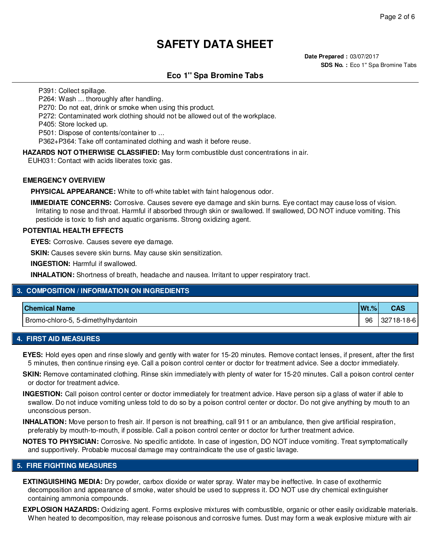**Date Prepared :** 03/07/2017 **SDS No. :** Eco 1" Spa Bromine Tabs

# **Eco 1'' Spa Bromine Tabs**

P391: Collect spillage.

P264: Wash ... thoroughly after handling.

P270: Do not eat, drink or smoke when using this product.

P272: Contaminated work clothing should not be allowed out of the workplace.

P405: Store locked up.

P501: Dispose of contents/container to ...

P362+P364: Take off contaminated clothing and wash it before reuse.

**HAZARDS NOT OTHERWISE CLASSIFIED:** May form combustible dust concentrations in air.

EUH031: Contact with acids liberates toxic gas.

#### **EMERGENCY OVERVIEW**

**PHYSICAL APPEARANCE:** White to off-white tablet with faint halogenous odor.

**IMMEDIATE CONCERNS:** Corrosive. Causes severe eye damage and skin burns. Eye contact may cause loss of vision. Irritating to nose and throat. Harmful if absorbed through skin or swallowed. If swallowed, DO NOT induce vomiting. This pesticide is toxic to fish and aquatic organisms. Strong oxidizing agent.

#### **POTENTIAL HEALTH EFFECTS**

**EYES:** Corrosive. Causes severe eye damage.

**SKIN:** Causes severe skin burns. May cause skin sensitization.

**INGESTION:** Harmful if swallowed.

**INHALATION:** Shortness of breath, headache and nausea. Irritant to upper respiratory tract.

## **3. COMPOSITION / INFORMATION ON INGREDIENTS**

| <b>Chemical Name</b>                | $Wt.$ % | -UAC                |
|-------------------------------------|---------|---------------------|
| Bromo-chloro-5, 5-dimethylhydantoin | 96      | 18-61<br>32.<br>າຮ∹ |

#### **4. FIRST AID MEASURES**

**EYES:** Hold eyes open and rinse slowly and gently with water for 15-20 minutes. Remove contact lenses, if present, after the first 5 minutes, then continue rinsing eye. Call a poison control center or doctor for treatment advice. See a doctor immediately.

**SKIN:** Remove contaminated clothing. Rinse skin immediately with plenty of water for 15-20 minutes. Call a poison control center or doctor for treatment advice.

**INGESTION:** Call poison control center or doctor immediately for treatment advice. Have person sip a glass of water if able to swallow. Do not induce vomiting unless told to do so by a poison control center or doctor. Do not give anything by mouth to an unconscious person.

**INHALATION:** Move person to fresh air. If person is not breathing, call 911 or an ambulance, then give artificial respiration, preferably by mouth-to-mouth, if possible. Call a poison control center or doctor for further treatment advice.

**NOTES TO PHYSICIAN:** Corrosive. No specific antidote. In case of ingestion, DO NOT induce vomiting. Treat symptomatically and supportively. Probable mucosal damage may contraindicate the use of gastic lavage.

## **5. FIRE FIGHTING MEASURES**

**EXTINGUISHING MEDIA:** Dry powder, carbox dioxide or water spray. Water may be ineffective. In case of exothermic decomposition and appearance of smoke, water should be used to suppress it. DO NOT use dry chemical extinguisher containing ammonia compounds.

**EXPLOSION HAZARDS:** Oxidizing agent. Forms explosive mixtures with combustible, organic or other easily oxidizable materials. When heated to decomposition, may release poisonous and corrosive fumes. Dust may form a weak explosive mixture with air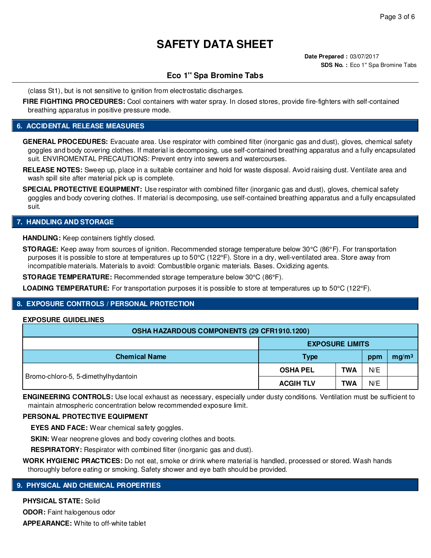**Date Prepared :** 03/07/2017 **SDS No. :** Eco 1" Spa Bromine Tabs

## **Eco 1'' Spa Bromine Tabs**

(class St1), but is not sensitive to ignition from electrostatic discharges.

**FIRE FIGHTING PROCEDURES:** Cool containers with water spray. In closed stores, provide fire-fighters with self-contained breathing apparatus in positive pressure mode.

## **6. ACCIDENTAL RELEASE MEASURES**

**GENERAL PROCEDURES:** Evacuate area. Use respirator with combined filter (inorganic gas and dust), gloves, chemical safety goggles and body covering clothes. If material is decomposing, use self-contained breathing apparatus and a fully encapsulated suit. ENVIROMENTAL PRECAUTIONS: Prevent entry into sewers and watercourses.

**RELEASE NOTES:** Sweep up, place in a suitable container and hold for waste disposal. Avoid raising dust. Ventilate area and wash spill site after material pick up is complete.

**SPECIAL PROTECTIVE EQUIPMENT:** Use respirator with combined filter (inorganic gas and dust), gloves, chemical safety goggles and body covering clothes. If material is decomposing, use self-contained breathing apparatus and a fully encapsulated suit.

#### **7. HANDLING AND STORAGE**

**HANDLING:** Keep containers tightly closed.

**STORAGE:** Keep away from sources of ignition. Recommended storage temperature below 30°C (86°F). For transportation purposes it is possible to store at temperatures up to 50°C (122°F). Store in a dry, well-ventilated area. Store away from incompatible materials. Materials to avoid: Combustible organic materials. Bases. Oxidizing agents.

**STORAGE TEMPERATURE:** Recommended storage temperature below 30°C (86°F).

**LOADING TEMPERATURE:** For transportation purposes it is possible to store at temperatures up to 50°C (122°F).

## **8. EXPOSURE CONTROLS / PERSONAL PROTECTION**

#### **EXPOSURE GUIDELINES**

| OSHA HAZARDOUS COMPONENTS (29 CFR1910.1200) |                        |            |     |                   |
|---------------------------------------------|------------------------|------------|-----|-------------------|
|                                             | <b>EXPOSURE LIMITS</b> |            |     |                   |
| <b>Chemical Name</b>                        | <b>Type</b>            |            | ppm | mg/m <sup>3</sup> |
| Bromo-chloro-5, 5-dimethylhydantoin         | <b>OSHA PEL</b>        | <b>TWA</b> | N/E |                   |
|                                             | <b>ACGIH TLV</b>       | <b>TWA</b> | N/E |                   |

**ENGINEERING CONTROLS:** Use local exhaust as necessary, especially under dusty conditions. Ventilation must be sufficient to maintain atmospheric concentration below recommended exposure limit.

#### **PERSONAL PROTECTIVE EQUIPMENT**

**EYES AND FACE:** Wear chemical safety goggles.

**SKIN:** Wear neoprene gloves and body covering clothes and boots.

**RESPIRATORY:** Respirator with combined filter (inorganic gas and dust).

**WORK HYGIENIC PRACTICES:** Do not eat, smoke or drink where material is handled, processed or stored. Wash hands thoroughly before eating or smoking. Safety shower and eye bath should be provided.

#### **9. PHYSICAL AND CHEMICAL PROPERTIES**

**PHYSICAL STATE:** Solid

**ODOR:** Faint halogenous odor **APPEARANCE:** White to off-white tablet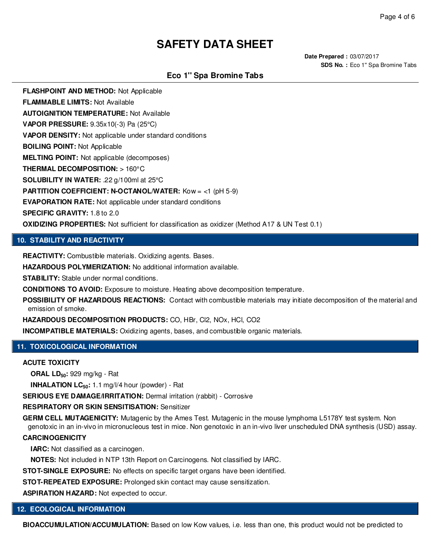**Date Prepared :** 03/07/2017 **SDS No. :** Eco 1" Spa Bromine Tabs

# **Eco 1'' Spa Bromine Tabs**

**FLASHPOINT AND METHOD:** Not Applicable

**FLAMMABLE LIMITS:** Not Available

**AUTOIGNITION TEMPERATURE:** Not Available

**VAPOR PRESSURE:** 9.35x10(-3) Pa (25°C)

**VAPOR DENSITY:** Not applicable under standard conditions

**BOILING POINT:** Not Applicable

**MELTING POINT:** Not applicable (decomposes)

**THERMAL DECOMPOSITION:** > 160°C

**SOLUBILITY IN WATER:** .22 g/100ml at 25°C

**PARTITION COEFFICIENT: N-OCTANOL/WATER:** Kow = <1 (pH 5-9)

**EVAPORATION RATE:** Not applicable under standard conditions

**SPECIFIC GRAVITY:** 1.8 to 2.0

**OXIDIZING PROPERTIES:** Not sufficient for classification as oxidizer (Method A17 & UN Test 0.1)

## **10. STABILITY AND REACTIVITY**

**REACTIVITY:** Combustible materials. Oxidizing agents. Bases.

**HAZARDOUS POLYMERIZATION:** No additional information available.

**STABILITY:** Stable under normal conditions.

**CONDITIONS TO AVOID:** Exposure to moisture. Heating above decomposition temperature.

**POSSIBILITY OF HAZARDOUS REACTIONS:** Contact with combustible materials may initiate decomposition of the material and emission of smoke.

**HAZARDOUS DECOMPOSITION PRODUCTS:** CO, HBr, Cl2, NOx, HCl, CO2

**INCOMPATIBLE MATERIALS:** Oxidizing agents, bases, and combustible organic materials.

## **11. TOXICOLOGICAL INFORMATION**

#### **ACUTE TOXICITY**

**ORAL LD50:** 929 mg/kg - Rat

**INHALATION LC50:** 1.1 mg/l/4 hour (powder) - Rat

**SERIOUS EYE DAMAGE/IRRITATION:** Dermal irritation (rabbit) - Corrosive

# **RESPIRATORY OR SKIN SENSITISATION:** Sensitizer

**GERM CELL MUTAGENICITY:** Mutagenic by the Ames Test. Mutagenic in the mouse lymphoma L5178Y test system. Non genotoxic in an in-vivo in micronucleous test in mice. Non genotoxic in an in-vivo liver unscheduled DNA synthesis (USD) assay.

#### **CARCINOGENICITY**

**IARC:** Not classified as a carcinogen.

**NOTES:** Not included in NTP 13th Report on Carcinogens. Not classified by IARC.

**STOT-SINGLE EXPOSURE:** No effects on specific target organs have been identified.

**STOT-REPEATED EXPOSURE:** Prolonged skin contact may cause sensitization.

**ASPIRATION HAZARD:** Not expected to occur.

## **12. ECOLOGICAL INFORMATION**

**BIOACCUMULATION/ACCUMULATION:** Based on low Kow values, i.e. less than one, this product would not be predicted to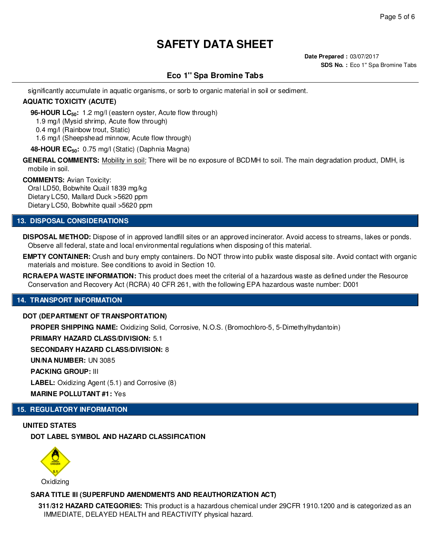# **Eco 1'' Spa Bromine Tabs**

significantly accumulate in aquatic organisms, or sorb to organic material in soil or sediment.

## **AQUATIC TOXICITY (ACUTE)**

**96-HOUR LC50:** 1.2 mg/l (eastern oyster, Acute flow through)

1.9 mg/l (Mysid shrimp, Acute flow through)

0.4 mg/l (Rainbow trout, Static)

1.6 mg/l (Sheepshead minnow, Acute flow through)

**48-HOUR EC50:** 0.75 mg/l (Static) (Daphnia Magna)

**GENERAL COMMENTS:** Mobility in soil: There will be no exposure of BCDMH to soil. The main degradation product, DMH, is mobile in soil.

#### **COMMENTS:** Avian Toxicity:

Oral LD50, Bobwhite Quail 1839 mg/kg Dietary LC50, Mallard Duck >5620 ppm Dietary LC50, Bobwhite quail >5620 ppm

## **13. DISPOSAL CONSIDERATIONS**

**DISPOSAL METHOD:** Dispose of in approved landfill sites or an approved incinerator. Avoid access to streams, lakes or ponds. Observe all federal, state and local environmental regulations when disposing of this material.

**EMPTY CONTAINER:** Crush and bury empty containers. Do NOT throw into publix waste disposal site. Avoid contact with organic materials and moisture. See conditions to avoid in Section 10.

**RCRA/EPA WASTE INFORMATION:** This product does meet the criterial of a hazardous waste as defined under the Resource Conservation and Recovery Act (RCRA) 40 CFR 261, with the following EPA hazardous waste number: D001

## **14. TRANSPORT INFORMATION**

#### **DOT (DEPARTMENT OF TRANSPORTATION)**

**PROPER SHIPPING NAME:** Oxidizing Solid, Corrosive, N.O.S. (Bromochloro-5, 5-Dimethylhydantoin)

**PRIMARY HAZARD CLASS/DIVISION:** 5.1

**SECONDARY HAZARD CLASS/DIVISION:** 8

**UN/NA NUMBER:** UN 3085

**PACKING GROUP:** III

**LABEL:** Oxidizing Agent (5.1) and Corrosive (8)

**MARINE POLLUTANT #1:** Yes

## **15. REGULATORY INFORMATION**

**UNITED STATES DOT LABEL SYMBOL AND HAZARD CLASSIFICATION**



## **SARA TITLE III (SUPERFUND AMENDMENTS AND REAUTHORIZATION ACT)**

**311/312 HAZARD CATEGORIES:** This product is a hazardous chemical under 29CFR 1910.1200 and is categorized as an IMMEDIATE, DELAYED HEALTH and REACTIVITY physical hazard.